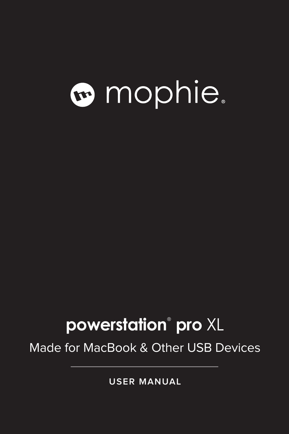# **a** mophie.

## **powerstation<sup>®</sup> pro XL**

Made for MacBook & Other USB Devices

**USER MANUAL**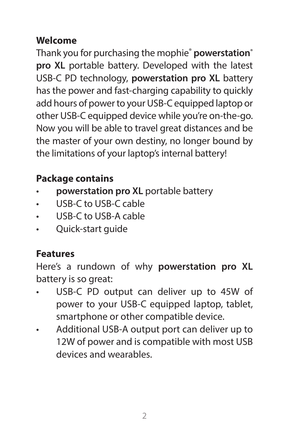#### **Welcome**

Thank you for purchasing the mophie® **powerstation® pro XL** portable battery. Developed with the latest USB-C PD technology, **powerstation pro XL** battery has the power and fast-charging capability to quickly add hours of power to your USB-C equipped laptop or other USB-C equipped device while you're on-the-go. Now you will be able to travel great distances and be the master of your own destiny, no longer bound by the limitations of your laptop's internal battery!

#### **Package contains**

- **powerstation pro XL** portable battery
- USB-C to USB-C cable
- USB-C to USB-A cable
- Quick-start quide

#### **Features**

Here's a rundown of why **powerstation pro XL**  battery is so great:

- USB-C PD output can deliver up to 45W of power to your USB-C equipped laptop, tablet, smartphone or other compatible device.
- Additional USB-A output port can deliver up to 12W of power and is compatible with most USB devices and wearables.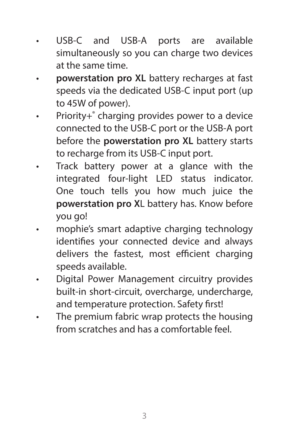- USB-C and USB-A ports are available simultaneously so you can charge two devices at the same time.
- **powerstation pro XL** battery recharges at fast speeds via the dedicated USB-C input port (up to 45W of power).
- Priority+® charging provides power to a device connected to the USB-C port or the USB-A port before the **powerstation pro XL** battery starts to recharge from its USB-C input port.
- Track battery power at a glance with the integrated four-light LED status indicator. One touch tells you how much juice the **powerstation pro X**L battery has. Know before you go!
- mophie's smart adaptive charging technology identifies your connected device and always delivers the fastest, most efficient charging speeds available.
- Digital Power Management circuitry provides built-in short-circuit, overcharge, undercharge, and temperature protection. Safety first!
- The premium fabric wrap protects the housing from scratches and has a comfortable feel.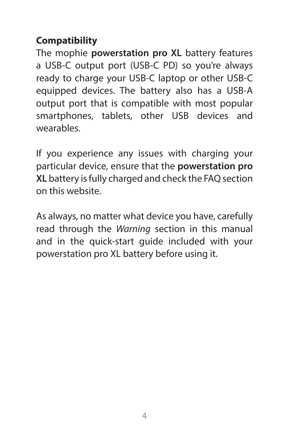#### **Compatibility**

The mophie **powerstation pro XL** battery features a USB-C output port (USB-C PD) so you're always ready to charge your USB-C laptop or other USB-C equipped devices. The battery also has a USB-A output port that is compatible with most popular smartphones, tablets, other USB devices and wearables.

If you experience any issues with charging your particular device, ensure that the **powerstation pro XL** battery is fully charged and check the FAQ section on this website.

As always, no matter what device you have, carefully read through the *Warning* section in this manual and in the quick-start guide included with your powerstation pro XL battery before using it.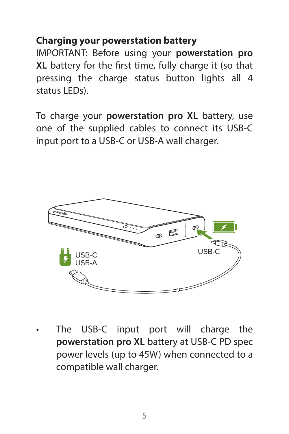#### **Charging your powerstation battery**

IMPORTANT: Before using your **powerstation pro XL** battery for the first time, fully charge it (so that pressing the charge status button lights all 4 status LEDs).

To charge your **powerstation pro XL** battery, use one of the supplied cables to connect its USB-C input port to a USB-C or USB-A wall charger.



The USB-C input port will charge the **powerstation pro XL** battery at USB-C PD spec power levels (up to 45W) when connected to a compatible wall charger.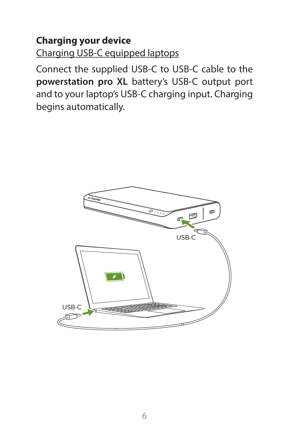#### **Charging your device**

Charging USB-C equipped laptops

Connect the supplied USB-C to USB-C cable to the **powerstation pro XL** battery's USB-C output port and to your laptop's USB-C charging input. Charging begins automatically.

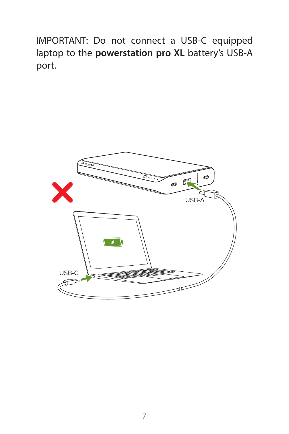IMPORTANT: Do not connect a USB-C equipped laptop to the **powerstation pro XL** battery's USB-A port.

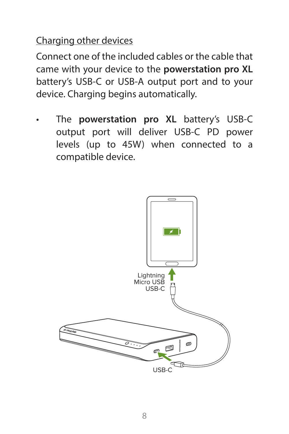#### Charging other devices

Connect one of the included cables or the cable that came with your device to the **powerstation pro XL**  battery's USB-C or USB-A output port and to your device. Charging begins automatically.

• The **powerstation pro XL** battery's USB-C output port will deliver USB-C PD power levels (up to 45W) when connected to a compatible device.

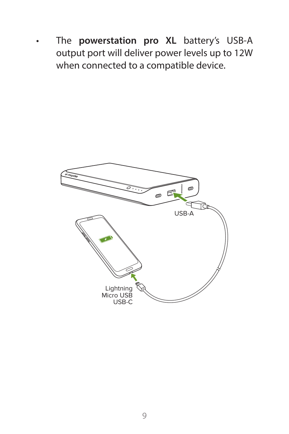. The **powerstation pro XL** battery's USB-A mediport will deliver power levels up to 12W when connected to a compatible device.

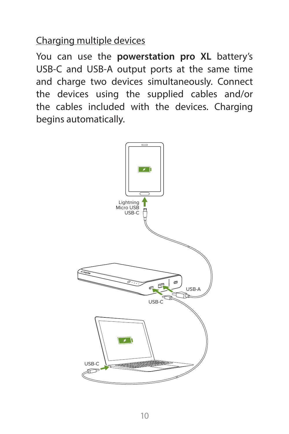Charging multiple devices

You can use the **powerstation pro XL** battery's USB-C and USB-A output ports at the same time and charge two devices simultaneously. Connect the devices using the supplied cables and/or the cables included with the devices. Charging begins automatically.

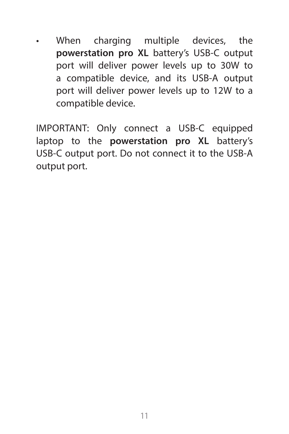• When charging multiple devices, the **powerstation pro XL** battery's USB-C output port will deliver power levels up to 30W to a compatible device, and its USB-A output port will deliver power levels up to 12W to a compatible device.

IMPORTANT: Only connect a USB-C equipped laptop to the **powerstation pro XL** battery's USB-C output port. Do not connect it to the USB-A output port.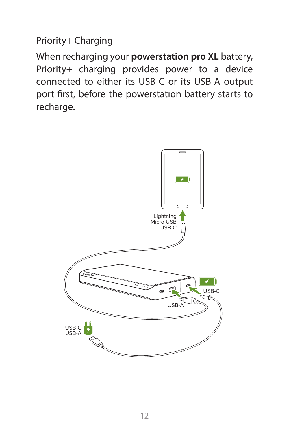#### Priority+ Charging

When recharging your **powerstation pro XL** battery, Priority+ charging provides power to a device connected to either its USB-C or its USB-A output port first, before the powerstation battery starts to recharge.

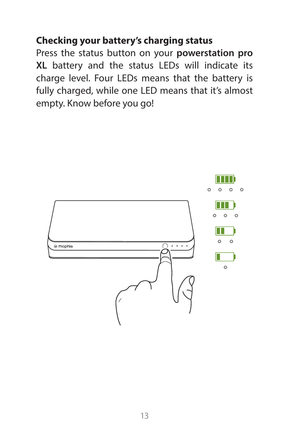#### **Checking your battery's charging status**

Press the status button on your **powerstation pro XL** battery and the status LEDs will indicate its charge level. Four LEDs means that the battery is fully charged, while one LED means that it's almost empty. Know before you go!

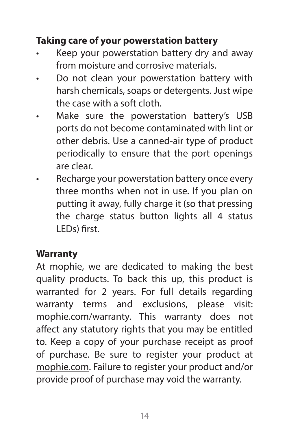#### **Taking care of your powerstation battery**

- Keep your powerstation battery dry and away from moisture and corrosive materials.
- Do not clean your powerstation battery with harsh chemicals, soaps or detergents. Just wipe the case with a soft cloth.
- Make sure the powerstation battery's USB ports do not become contaminated with lint or other debris. Use a canned-air type of product periodically to ensure that the port openings are clear.
- Recharge your powerstation battery once every three months when not in use. If you plan on putting it away, fully charge it (so that pressing the charge status button lights all 4 status LEDs) first.

#### **Warranty**

At mophie, we are dedicated to making the best quality products. To back this up, this product is warranted for 2 years. For full details regarding warranty terms and exclusions, please visit: mophie.com/warranty. This warranty does not affect any statutory rights that you may be entitled to. Keep a copy of your purchase receipt as proof of purchase. Be sure to register your product at mophie.com. Failure to register your product and/or provide proof of purchase may void the warranty.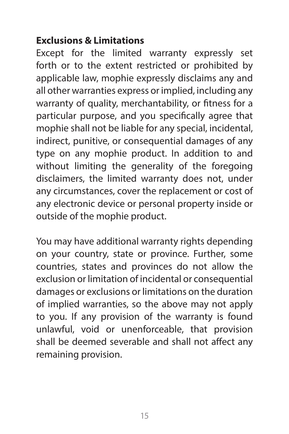#### **Exclusions & Limitations**

Except for the limited warranty expressly set forth or to the extent restricted or prohibited by applicable law, mophie expressly disclaims any and all other warranties express or implied, including any warranty of quality, merchantability, or fitness for a particular purpose, and you specifically agree that mophie shall not be liable for any special, incidental, indirect, punitive, or consequential damages of any type on any mophie product. In addition to and without limiting the generality of the foregoing disclaimers, the limited warranty does not, under any circumstances, cover the replacement or cost of any electronic device or personal property inside or outside of the mophie product.

You may have additional warranty rights depending on your country, state or province. Further, some countries, states and provinces do not allow the exclusion or limitation of incidental or consequential damages or exclusions or limitations on the duration of implied warranties, so the above may not apply to you. If any provision of the warranty is found unlawful, void or unenforceable, that provision shall be deemed severable and shall not affect any remaining provision.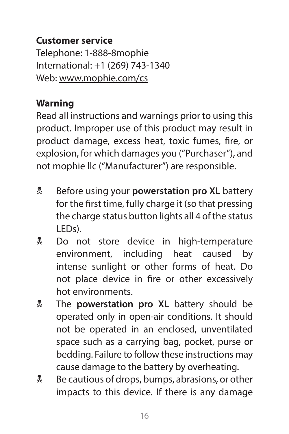#### **Customer service**

Telephone: 1-888-8mophie International: +1 (269) 743-1340 Web: www.mophie.com/cs

#### **Warning**

Read all instructions and warnings prior to using this product. Improper use of this product may result in product damage, excess heat, toxic fumes, fire, or explosion, for which damages you ("Purchaser"), and not mophie llc ("Manufacturer") are responsible.

- **EX** Before using your **powerstation pro XL** battery for the first time, fully charge it (so that pressing the charge status button lights all 4 of the status LEDs).
- **L** Do not store device in high-temperature environment, including heat caused by intense sunlight or other forms of heat. Do not place device in fire or other excessively hot environments.
- **E** The **powerstation pro XL** battery should be operated only in open-air conditions. It should not be operated in an enclosed, unventilated space such as a carrying bag, pocket, purse or bedding. Failure to follow these instructions may cause damage to the battery by overheating.
- **E** Be cautious of drops, bumps, abrasions, or other impacts to this device. If there is any damage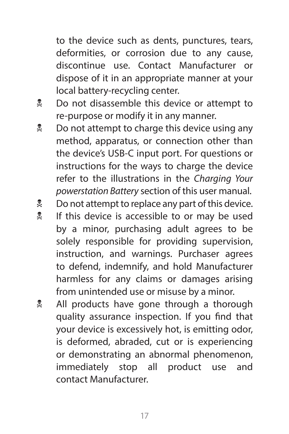to the device such as dents, punctures, tears, deformities, or corrosion due to any cause, discontinue use. Contact Manufacturer or dispose of it in an appropriate manner at your local battery-recycling center.

- **Do not disassemble this device or attempt to** re-purpose or modify it in any manner.
- $\frac{1}{2}$  Do not attempt to charge this device using any method, apparatus, or connection other than the device's USB-C input port. For questions or instructions for the ways to charge the device refer to the illustrations in the *Charging Your powerstation Battery* section of this user manual.
- **Let** Do not attempt to replace any part of this device.
- **If this device is accessible to or may be used** by a minor, purchasing adult agrees to be solely responsible for providing supervision, instruction, and warnings. Purchaser agrees to defend, indemnify, and hold Manufacturer harmless for any claims or damages arising from unintended use or misuse by a minor.
- All products have gone through a thorough quality assurance inspection. If you find that your device is excessively hot, is emitting odor, is deformed, abraded, cut or is experiencing or demonstrating an abnormal phenomenon, immediately stop all product use and contact Manufacturer.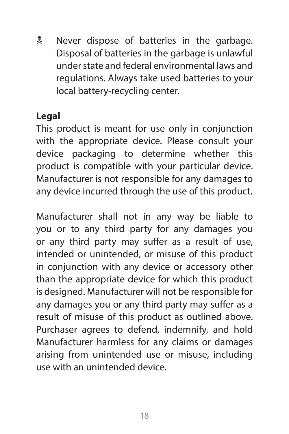**E** Never dispose of batteries in the garbage. Disposal of batteries in the garbage is unlawful under state and federal environmental laws and regulations. Always take used batteries to your local battery-recycling center.

#### **Legal**

This product is meant for use only in conjunction with the appropriate device. Please consult your device packaging to determine whether this product is compatible with your particular device. Manufacturer is not responsible for any damages to any device incurred through the use of this product.

Manufacturer shall not in any way be liable to you or to any third party for any damages you or any third party may suffer as a result of use, intended or unintended, or misuse of this product in conjunction with any device or accessory other than the appropriate device for which this product is designed. Manufacturer will not be responsible for any damages you or any third party may suffer as a result of misuse of this product as outlined above. Purchaser agrees to defend, indemnify, and hold Manufacturer harmless for any claims or damages arising from unintended use or misuse, including use with an unintended device.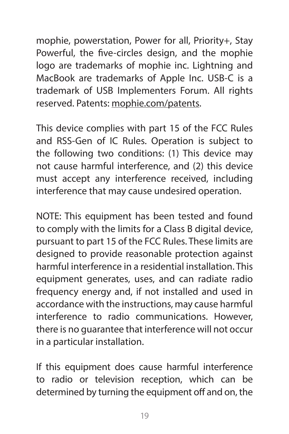mophie, powerstation, Power for all, Priority+, Stay Powerful, the five-circles design, and the mophie logo are trademarks of mophie inc. Lightning and MacBook are trademarks of Apple Inc. USB-C is a trademark of USB Implementers Forum. All rights reserved. Patents: mophie.com/patents.

This device complies with part 15 of the FCC Rules and RSS-Gen of IC Rules. Operation is subject to the following two conditions: (1) This device may not cause harmful interference, and (2) this device must accept any interference received, including interference that may cause undesired operation.

NOTE: This equipment has been tested and found to comply with the limits for a Class B digital device, pursuant to part 15 of the FCC Rules. These limits are designed to provide reasonable protection against harmful interference in a residential installation. This equipment generates, uses, and can radiate radio frequency energy and, if not installed and used in accordance with the instructions, may cause harmful interference to radio communications. However, there is no guarantee that interference will not occur in a particular installation.

If this equipment does cause harmful interference to radio or television reception, which can be determined by turning the equipment off and on, the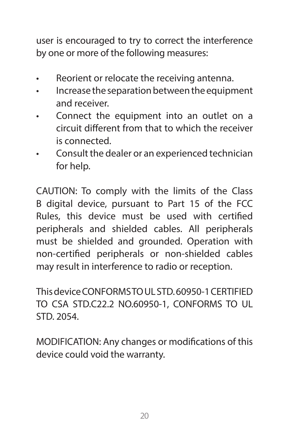user is encouraged to try to correct the interference by one or more of the following measures:

- Reorient or relocate the receiving antenna.
- Increase the separation between the equipment and receiver.
- Connect the equipment into an outlet on a circuit different from that to which the receiver is connected.
- Consult the dealer or an experienced technician for help.

CAUTION: To comply with the limits of the Class B digital device, pursuant to Part 15 of the FCC Rules, this device must be used with certified peripherals and shielded cables. All peripherals must be shielded and grounded. Operation with non-certified peripherals or non-shielded cables may result in interference to radio or reception.

This device CONFORMS TO UL STD. 60950-1 CERTIFIED TO CSA STD.C22.2 NO.60950-1, CONFORMS TO UL STD. 2054.

MODIFICATION: Any changes or modifications of this device could void the warranty.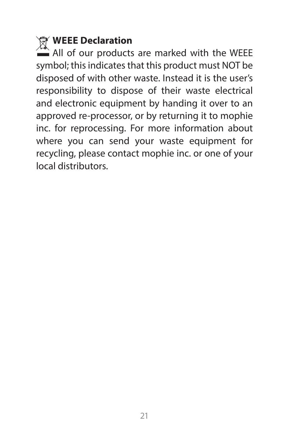### **WEEE Declaration**

 $\hat{=}$  All of our products are marked with the WEEE symbol; this indicates that this product must NOT be disposed of with other waste. Instead it is the user's responsibility to dispose of their waste electrical and electronic equipment by handing it over to an approved re-processor, or by returning it to mophie inc. for reprocessing. For more information about where you can send your waste equipment for recycling, please contact mophie inc. or one of your local distributors.